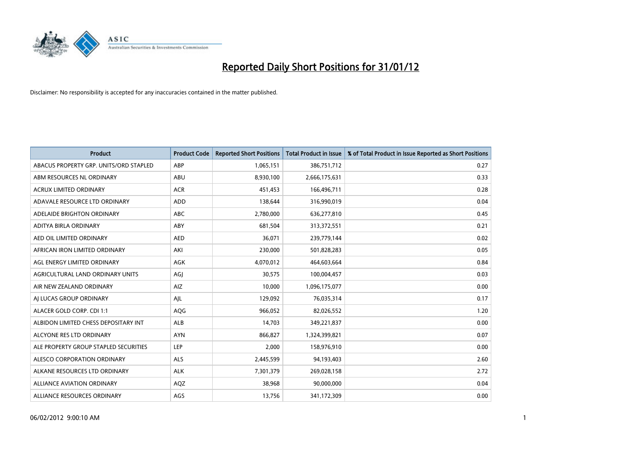

| <b>Product</b>                         | <b>Product Code</b> | <b>Reported Short Positions</b> | <b>Total Product in Issue</b> | % of Total Product in Issue Reported as Short Positions |
|----------------------------------------|---------------------|---------------------------------|-------------------------------|---------------------------------------------------------|
| ABACUS PROPERTY GRP. UNITS/ORD STAPLED | ABP                 | 1,065,151                       | 386,751,712                   | 0.27                                                    |
| ABM RESOURCES NL ORDINARY              | ABU                 | 8,930,100                       | 2,666,175,631                 | 0.33                                                    |
| <b>ACRUX LIMITED ORDINARY</b>          | <b>ACR</b>          | 451,453                         | 166,496,711                   | 0.28                                                    |
| ADAVALE RESOURCE LTD ORDINARY          | <b>ADD</b>          | 138,644                         | 316,990,019                   | 0.04                                                    |
| ADELAIDE BRIGHTON ORDINARY             | <b>ABC</b>          | 2,780,000                       | 636,277,810                   | 0.45                                                    |
| ADITYA BIRLA ORDINARY                  | ABY                 | 681,504                         | 313,372,551                   | 0.21                                                    |
| AED OIL LIMITED ORDINARY               | <b>AED</b>          | 36,071                          | 239,779,144                   | 0.02                                                    |
| AFRICAN IRON LIMITED ORDINARY          | AKI                 | 230,000                         | 501,828,283                   | 0.05                                                    |
| AGL ENERGY LIMITED ORDINARY            | AGK                 | 4,070,012                       | 464,603,664                   | 0.84                                                    |
| AGRICULTURAL LAND ORDINARY UNITS       | AGJ                 | 30,575                          | 100,004,457                   | 0.03                                                    |
| AIR NEW ZEALAND ORDINARY               | <b>AIZ</b>          | 10,000                          | 1,096,175,077                 | 0.00                                                    |
| AI LUCAS GROUP ORDINARY                | AJL                 | 129,092                         | 76,035,314                    | 0.17                                                    |
| ALACER GOLD CORP. CDI 1:1              | AQG                 | 966,052                         | 82,026,552                    | 1.20                                                    |
| ALBIDON LIMITED CHESS DEPOSITARY INT   | <b>ALB</b>          | 14,703                          | 349,221,837                   | 0.00                                                    |
| ALCYONE RES LTD ORDINARY               | <b>AYN</b>          | 866,827                         | 1,324,399,821                 | 0.07                                                    |
| ALE PROPERTY GROUP STAPLED SECURITIES  | LEP                 | 2,000                           | 158,976,910                   | 0.00                                                    |
| ALESCO CORPORATION ORDINARY            | ALS                 | 2,445,599                       | 94,193,403                    | 2.60                                                    |
| ALKANE RESOURCES LTD ORDINARY          | <b>ALK</b>          | 7,301,379                       | 269,028,158                   | 2.72                                                    |
| <b>ALLIANCE AVIATION ORDINARY</b>      | AQZ                 | 38,968                          | 90,000,000                    | 0.04                                                    |
| ALLIANCE RESOURCES ORDINARY            | AGS                 | 13,756                          | 341,172,309                   | 0.00                                                    |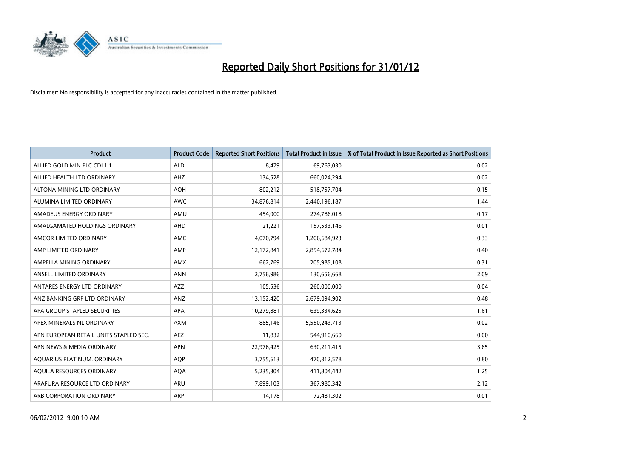

| <b>Product</b>                         | <b>Product Code</b> | <b>Reported Short Positions</b> | Total Product in Issue | % of Total Product in Issue Reported as Short Positions |
|----------------------------------------|---------------------|---------------------------------|------------------------|---------------------------------------------------------|
| ALLIED GOLD MIN PLC CDI 1:1            | <b>ALD</b>          | 8.479                           | 69,763,030             | 0.02                                                    |
| ALLIED HEALTH LTD ORDINARY             | AHZ                 | 134,528                         | 660,024,294            | 0.02                                                    |
| ALTONA MINING LTD ORDINARY             | <b>AOH</b>          | 802,212                         | 518,757,704            | 0.15                                                    |
| ALUMINA LIMITED ORDINARY               | <b>AWC</b>          | 34,876,814                      | 2,440,196,187          | 1.44                                                    |
| AMADEUS ENERGY ORDINARY                | AMU                 | 454,000                         | 274,786,018            | 0.17                                                    |
| AMALGAMATED HOLDINGS ORDINARY          | AHD                 | 21,221                          | 157,533,146            | 0.01                                                    |
| AMCOR LIMITED ORDINARY                 | AMC                 | 4,070,794                       | 1,206,684,923          | 0.33                                                    |
| AMP LIMITED ORDINARY                   | AMP                 | 12,172,841                      | 2,854,672,784          | 0.40                                                    |
| AMPELLA MINING ORDINARY                | <b>AMX</b>          | 662,769                         | 205,985,108            | 0.31                                                    |
| ANSELL LIMITED ORDINARY                | <b>ANN</b>          | 2,756,986                       | 130,656,668            | 2.09                                                    |
| ANTARES ENERGY LTD ORDINARY            | <b>AZZ</b>          | 105,536                         | 260,000,000            | 0.04                                                    |
| ANZ BANKING GRP LTD ORDINARY           | <b>ANZ</b>          | 13,152,420                      | 2,679,094,902          | 0.48                                                    |
| APA GROUP STAPLED SECURITIES           | APA                 | 10,279,881                      | 639,334,625            | 1.61                                                    |
| APEX MINERALS NL ORDINARY              | <b>AXM</b>          | 885,146                         | 5,550,243,713          | 0.02                                                    |
| APN EUROPEAN RETAIL UNITS STAPLED SEC. | <b>AEZ</b>          | 11,832                          | 544,910,660            | 0.00                                                    |
| APN NEWS & MEDIA ORDINARY              | <b>APN</b>          | 22,976,425                      | 630,211,415            | 3.65                                                    |
| AQUARIUS PLATINUM. ORDINARY            | <b>AOP</b>          | 3,755,613                       | 470,312,578            | 0.80                                                    |
| AQUILA RESOURCES ORDINARY              | <b>AQA</b>          | 5,235,304                       | 411,804,442            | 1.25                                                    |
| ARAFURA RESOURCE LTD ORDINARY          | <b>ARU</b>          | 7,899,103                       | 367,980,342            | 2.12                                                    |
| ARB CORPORATION ORDINARY               | ARP                 | 14,178                          | 72,481,302             | 0.01                                                    |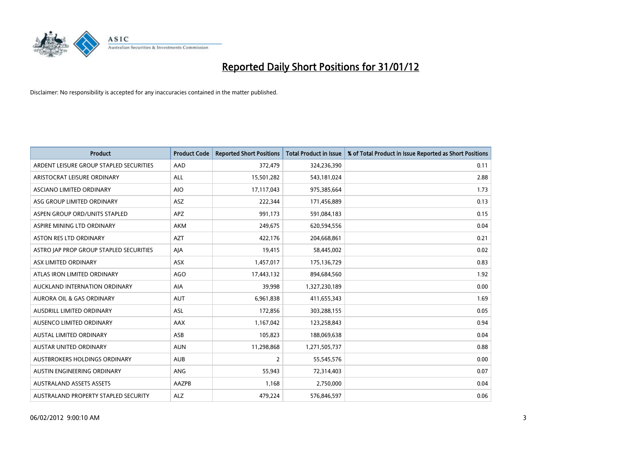

| <b>Product</b>                          | <b>Product Code</b> | <b>Reported Short Positions</b> | <b>Total Product in Issue</b> | % of Total Product in Issue Reported as Short Positions |
|-----------------------------------------|---------------------|---------------------------------|-------------------------------|---------------------------------------------------------|
| ARDENT LEISURE GROUP STAPLED SECURITIES | AAD                 | 372,479                         | 324,236,390                   | 0.11                                                    |
| ARISTOCRAT LEISURE ORDINARY             | ALL                 | 15,501,282                      | 543,181,024                   | 2.88                                                    |
| ASCIANO LIMITED ORDINARY                | <b>AIO</b>          | 17,117,043                      | 975,385,664                   | 1.73                                                    |
| ASG GROUP LIMITED ORDINARY              | ASZ                 | 222,344                         | 171,456,889                   | 0.13                                                    |
| ASPEN GROUP ORD/UNITS STAPLED           | <b>APZ</b>          | 991,173                         | 591,084,183                   | 0.15                                                    |
| ASPIRE MINING LTD ORDINARY              | AKM                 | 249,675                         | 620,594,556                   | 0.04                                                    |
| ASTON RES LTD ORDINARY                  | <b>AZT</b>          | 422,176                         | 204,668,861                   | 0.21                                                    |
| ASTRO JAP PROP GROUP STAPLED SECURITIES | AJA                 | 19,415                          | 58,445,002                    | 0.02                                                    |
| ASX LIMITED ORDINARY                    | ASX                 | 1,457,017                       | 175,136,729                   | 0.83                                                    |
| ATLAS IRON LIMITED ORDINARY             | AGO                 | 17,443,132                      | 894,684,560                   | 1.92                                                    |
| AUCKLAND INTERNATION ORDINARY           | AIA                 | 39,998                          | 1,327,230,189                 | 0.00                                                    |
| AURORA OIL & GAS ORDINARY               | <b>AUT</b>          | 6,961,838                       | 411,655,343                   | 1.69                                                    |
| AUSDRILL LIMITED ORDINARY               | ASL                 | 172,856                         | 303,288,155                   | 0.05                                                    |
| AUSENCO LIMITED ORDINARY                | AAX                 | 1,167,042                       | 123,258,843                   | 0.94                                                    |
| <b>AUSTAL LIMITED ORDINARY</b>          | ASB                 | 105,823                         | 188,069,638                   | 0.04                                                    |
| AUSTAR UNITED ORDINARY                  | <b>AUN</b>          | 11,298,868                      | 1,271,505,737                 | 0.88                                                    |
| AUSTBROKERS HOLDINGS ORDINARY           | <b>AUB</b>          | $\overline{2}$                  | 55,545,576                    | 0.00                                                    |
| AUSTIN ENGINEERING ORDINARY             | ANG                 | 55,943                          | 72,314,403                    | 0.07                                                    |
| <b>AUSTRALAND ASSETS ASSETS</b>         | AAZPB               | 1,168                           | 2,750,000                     | 0.04                                                    |
| AUSTRALAND PROPERTY STAPLED SECURITY    | <b>ALZ</b>          | 479,224                         | 576,846,597                   | 0.06                                                    |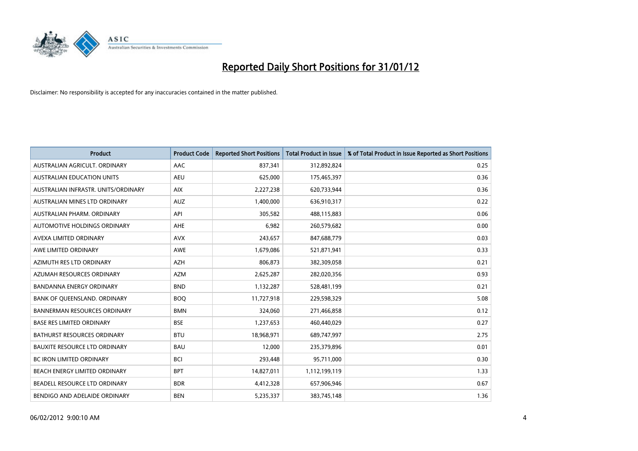

| <b>Product</b>                       | <b>Product Code</b> | <b>Reported Short Positions</b> | <b>Total Product in Issue</b> | % of Total Product in Issue Reported as Short Positions |
|--------------------------------------|---------------------|---------------------------------|-------------------------------|---------------------------------------------------------|
| AUSTRALIAN AGRICULT, ORDINARY        | AAC                 | 837,341                         | 312,892,824                   | 0.25                                                    |
| AUSTRALIAN EDUCATION UNITS           | <b>AEU</b>          | 625,000                         | 175,465,397                   | 0.36                                                    |
| AUSTRALIAN INFRASTR, UNITS/ORDINARY  | <b>AIX</b>          | 2,227,238                       | 620,733,944                   | 0.36                                                    |
| AUSTRALIAN MINES LTD ORDINARY        | <b>AUZ</b>          | 1,400,000                       | 636,910,317                   | 0.22                                                    |
| AUSTRALIAN PHARM, ORDINARY           | API                 | 305,582                         | 488,115,883                   | 0.06                                                    |
| AUTOMOTIVE HOLDINGS ORDINARY         | AHE                 | 6,982                           | 260,579,682                   | 0.00                                                    |
| AVEXA LIMITED ORDINARY               | <b>AVX</b>          | 243,657                         | 847,688,779                   | 0.03                                                    |
| AWE LIMITED ORDINARY                 | <b>AWE</b>          | 1,679,086                       | 521,871,941                   | 0.33                                                    |
| AZIMUTH RES LTD ORDINARY             | <b>AZH</b>          | 806,873                         | 382,309,058                   | 0.21                                                    |
| AZUMAH RESOURCES ORDINARY            | <b>AZM</b>          | 2,625,287                       | 282,020,356                   | 0.93                                                    |
| <b>BANDANNA ENERGY ORDINARY</b>      | <b>BND</b>          | 1,132,287                       | 528,481,199                   | 0.21                                                    |
| BANK OF QUEENSLAND. ORDINARY         | <b>BOQ</b>          | 11,727,918                      | 229,598,329                   | 5.08                                                    |
| <b>BANNERMAN RESOURCES ORDINARY</b>  | <b>BMN</b>          | 324,060                         | 271,466,858                   | 0.12                                                    |
| <b>BASE RES LIMITED ORDINARY</b>     | <b>BSE</b>          | 1,237,653                       | 460,440,029                   | 0.27                                                    |
| <b>BATHURST RESOURCES ORDINARY</b>   | <b>BTU</b>          | 18,968,971                      | 689,747,997                   | 2.75                                                    |
| <b>BAUXITE RESOURCE LTD ORDINARY</b> | <b>BAU</b>          | 12,000                          | 235,379,896                   | 0.01                                                    |
| <b>BC IRON LIMITED ORDINARY</b>      | <b>BCI</b>          | 293,448                         | 95,711,000                    | 0.30                                                    |
| BEACH ENERGY LIMITED ORDINARY        | <b>BPT</b>          | 14,827,011                      | 1,112,199,119                 | 1.33                                                    |
| BEADELL RESOURCE LTD ORDINARY        | <b>BDR</b>          | 4,412,328                       | 657,906,946                   | 0.67                                                    |
| BENDIGO AND ADELAIDE ORDINARY        | <b>BEN</b>          | 5,235,337                       | 383,745,148                   | 1.36                                                    |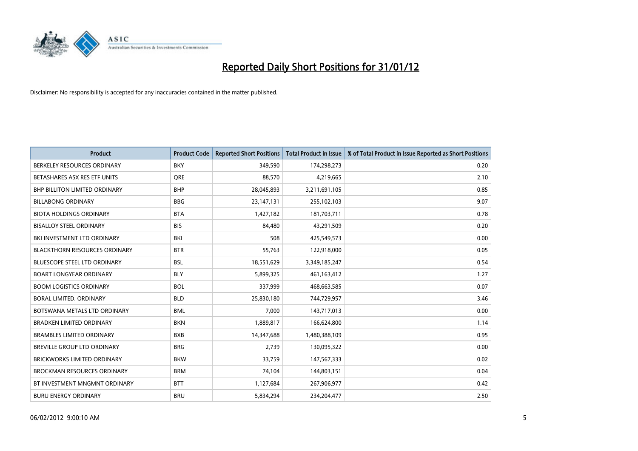

| Product                              | <b>Product Code</b> | <b>Reported Short Positions</b> | <b>Total Product in Issue</b> | % of Total Product in Issue Reported as Short Positions |
|--------------------------------------|---------------------|---------------------------------|-------------------------------|---------------------------------------------------------|
| BERKELEY RESOURCES ORDINARY          | <b>BKY</b>          | 349,590                         | 174,298,273                   | 0.20                                                    |
| BETASHARES ASX RES ETF UNITS         | <b>ORE</b>          | 88,570                          | 4,219,665                     | 2.10                                                    |
| <b>BHP BILLITON LIMITED ORDINARY</b> | <b>BHP</b>          | 28,045,893                      | 3,211,691,105                 | 0.85                                                    |
| <b>BILLABONG ORDINARY</b>            | <b>BBG</b>          | 23,147,131                      | 255,102,103                   | 9.07                                                    |
| <b>BIOTA HOLDINGS ORDINARY</b>       | <b>BTA</b>          | 1,427,182                       | 181,703,711                   | 0.78                                                    |
| <b>BISALLOY STEEL ORDINARY</b>       | <b>BIS</b>          | 84,480                          | 43,291,509                    | 0.20                                                    |
| BKI INVESTMENT LTD ORDINARY          | BKI                 | 508                             | 425,549,573                   | 0.00                                                    |
| <b>BLACKTHORN RESOURCES ORDINARY</b> | <b>BTR</b>          | 55,763                          | 122,918,000                   | 0.05                                                    |
| <b>BLUESCOPE STEEL LTD ORDINARY</b>  | <b>BSL</b>          | 18,551,629                      | 3,349,185,247                 | 0.54                                                    |
| <b>BOART LONGYEAR ORDINARY</b>       | <b>BLY</b>          | 5,899,325                       | 461,163,412                   | 1.27                                                    |
| <b>BOOM LOGISTICS ORDINARY</b>       | <b>BOL</b>          | 337,999                         | 468,663,585                   | 0.07                                                    |
| <b>BORAL LIMITED, ORDINARY</b>       | <b>BLD</b>          | 25,830,180                      | 744,729,957                   | 3.46                                                    |
| BOTSWANA METALS LTD ORDINARY         | <b>BML</b>          | 7,000                           | 143,717,013                   | 0.00                                                    |
| <b>BRADKEN LIMITED ORDINARY</b>      | <b>BKN</b>          | 1,889,817                       | 166,624,800                   | 1.14                                                    |
| <b>BRAMBLES LIMITED ORDINARY</b>     | <b>BXB</b>          | 14,347,688                      | 1,480,388,109                 | 0.95                                                    |
| BREVILLE GROUP LTD ORDINARY          | <b>BRG</b>          | 2,739                           | 130,095,322                   | 0.00                                                    |
| BRICKWORKS LIMITED ORDINARY          | <b>BKW</b>          | 33,759                          | 147,567,333                   | 0.02                                                    |
| <b>BROCKMAN RESOURCES ORDINARY</b>   | <b>BRM</b>          | 74,104                          | 144,803,151                   | 0.04                                                    |
| BT INVESTMENT MNGMNT ORDINARY        | <b>BTT</b>          | 1,127,684                       | 267,906,977                   | 0.42                                                    |
| <b>BURU ENERGY ORDINARY</b>          | <b>BRU</b>          | 5,834,294                       | 234,204,477                   | 2.50                                                    |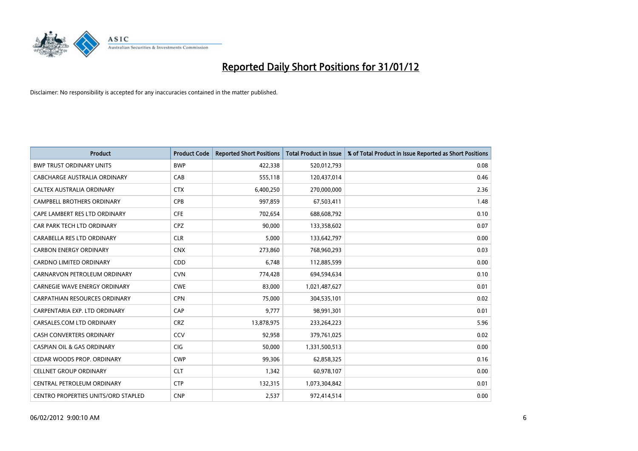

| <b>Product</b>                        | <b>Product Code</b> | <b>Reported Short Positions</b> | <b>Total Product in Issue</b> | % of Total Product in Issue Reported as Short Positions |
|---------------------------------------|---------------------|---------------------------------|-------------------------------|---------------------------------------------------------|
| <b>BWP TRUST ORDINARY UNITS</b>       | <b>BWP</b>          | 422,338                         | 520,012,793                   | 0.08                                                    |
| CABCHARGE AUSTRALIA ORDINARY          | CAB                 | 555,118                         | 120,437,014                   | 0.46                                                    |
| CALTEX AUSTRALIA ORDINARY             | <b>CTX</b>          | 6,400,250                       | 270,000,000                   | 2.36                                                    |
| CAMPBELL BROTHERS ORDINARY            | <b>CPB</b>          | 997,859                         | 67,503,411                    | 1.48                                                    |
| CAPE LAMBERT RES LTD ORDINARY         | <b>CFE</b>          | 702,654                         | 688,608,792                   | 0.10                                                    |
| CAR PARK TECH LTD ORDINARY            | <b>CPZ</b>          | 90,000                          | 133,358,602                   | 0.07                                                    |
| CARABELLA RES LTD ORDINARY            | <b>CLR</b>          | 5,000                           | 133,642,797                   | 0.00                                                    |
| <b>CARBON ENERGY ORDINARY</b>         | <b>CNX</b>          | 273,860                         | 768,960,293                   | 0.03                                                    |
| <b>CARDNO LIMITED ORDINARY</b>        | CDD                 | 6.748                           | 112,885,599                   | 0.00                                                    |
| CARNARVON PETROLEUM ORDINARY          | <b>CVN</b>          | 774,428                         | 694,594,634                   | 0.10                                                    |
| CARNEGIE WAVE ENERGY ORDINARY         | <b>CWE</b>          | 83,000                          | 1,021,487,627                 | 0.01                                                    |
| <b>CARPATHIAN RESOURCES ORDINARY</b>  | <b>CPN</b>          | 75,000                          | 304,535,101                   | 0.02                                                    |
| CARPENTARIA EXP. LTD ORDINARY         | CAP                 | 9,777                           | 98,991,301                    | 0.01                                                    |
| CARSALES.COM LTD ORDINARY             | <b>CRZ</b>          | 13,878,975                      | 233,264,223                   | 5.96                                                    |
| <b>CASH CONVERTERS ORDINARY</b>       | CCV                 | 92,958                          | 379,761,025                   | 0.02                                                    |
| <b>CASPIAN OIL &amp; GAS ORDINARY</b> | <b>CIG</b>          | 50,000                          | 1,331,500,513                 | 0.00                                                    |
| CEDAR WOODS PROP. ORDINARY            | <b>CWP</b>          | 99,306                          | 62,858,325                    | 0.16                                                    |
| <b>CELLNET GROUP ORDINARY</b>         | <b>CLT</b>          | 1,342                           | 60,978,107                    | 0.00                                                    |
| CENTRAL PETROLEUM ORDINARY            | <b>CTP</b>          | 132,315                         | 1,073,304,842                 | 0.01                                                    |
| CENTRO PROPERTIES UNITS/ORD STAPLED   | <b>CNP</b>          | 2,537                           | 972,414,514                   | 0.00                                                    |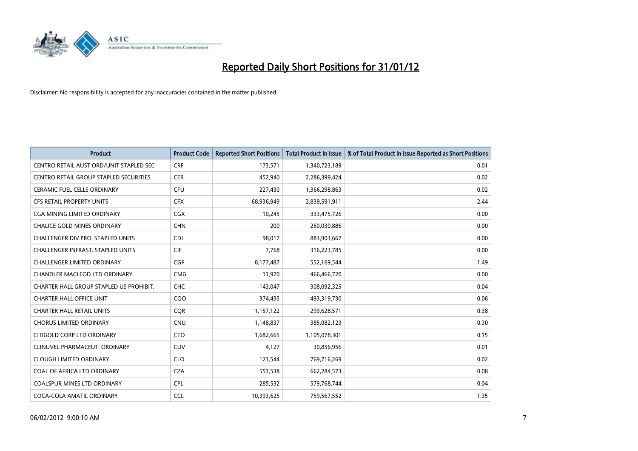

| <b>Product</b>                           | <b>Product Code</b> | <b>Reported Short Positions</b> | <b>Total Product in Issue</b> | % of Total Product in Issue Reported as Short Positions |
|------------------------------------------|---------------------|---------------------------------|-------------------------------|---------------------------------------------------------|
| CENTRO RETAIL AUST ORD/UNIT STAPLED SEC  | <b>CRF</b>          | 173,571                         | 1,340,723,189                 | 0.01                                                    |
| CENTRO RETAIL GROUP STAPLED SECURITIES   | <b>CER</b>          | 452,940                         | 2,286,399,424                 | 0.02                                                    |
| <b>CERAMIC FUEL CELLS ORDINARY</b>       | <b>CFU</b>          | 227,430                         | 1,366,298,863                 | 0.02                                                    |
| CFS RETAIL PROPERTY UNITS                | <b>CFX</b>          | 68,936,949                      | 2,839,591,911                 | 2.44                                                    |
| <b>CGA MINING LIMITED ORDINARY</b>       | <b>CGX</b>          | 10,245                          | 333,475,726                   | 0.00                                                    |
| <b>CHALICE GOLD MINES ORDINARY</b>       | <b>CHN</b>          | 200                             | 250,030,886                   | 0.00                                                    |
| <b>CHALLENGER DIV.PRO. STAPLED UNITS</b> | <b>CDI</b>          | 98,017                          | 883,903,667                   | 0.00                                                    |
| CHALLENGER INFRAST. STAPLED UNITS        | <b>CIF</b>          | 7,768                           | 316,223,785                   | 0.00                                                    |
| <b>CHALLENGER LIMITED ORDINARY</b>       | <b>CGF</b>          | 8,177,487                       | 552,169,544                   | 1.49                                                    |
| CHANDLER MACLEOD LTD ORDINARY            | <b>CMG</b>          | 11,970                          | 466,466,720                   | 0.00                                                    |
| CHARTER HALL GROUP STAPLED US PROHIBIT.  | <b>CHC</b>          | 143,047                         | 308,092,325                   | 0.04                                                    |
| <b>CHARTER HALL OFFICE UNIT</b>          | CQ <sub>O</sub>     | 374,435                         | 493,319,730                   | 0.06                                                    |
| <b>CHARTER HALL RETAIL UNITS</b>         | <b>COR</b>          | 1,157,122                       | 299,628,571                   | 0.38                                                    |
| <b>CHORUS LIMITED ORDINARY</b>           | <b>CNU</b>          | 1,148,837                       | 385,082,123                   | 0.30                                                    |
| CITIGOLD CORP LTD ORDINARY               | <b>CTO</b>          | 1,682,665                       | 1,105,078,301                 | 0.15                                                    |
| CLINUVEL PHARMACEUT. ORDINARY            | <b>CUV</b>          | 4,127                           | 30,856,956                    | 0.01                                                    |
| <b>CLOUGH LIMITED ORDINARY</b>           | <b>CLO</b>          | 121,544                         | 769,716,269                   | 0.02                                                    |
| COAL OF AFRICA LTD ORDINARY              | <b>CZA</b>          | 551,538                         | 662,284,573                   | 0.08                                                    |
| <b>COALSPUR MINES LTD ORDINARY</b>       | <b>CPL</b>          | 285,532                         | 579,768,744                   | 0.04                                                    |
| COCA-COLA AMATIL ORDINARY                | <b>CCL</b>          | 10,393,625                      | 759,567,552                   | 1.35                                                    |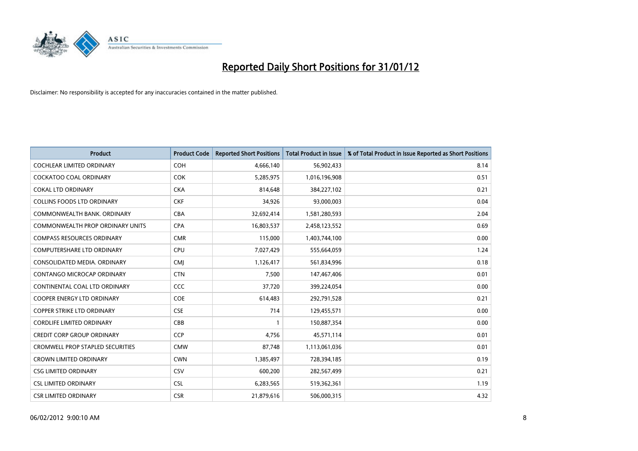

| <b>Product</b>                          | <b>Product Code</b> | <b>Reported Short Positions</b> | <b>Total Product in Issue</b> | % of Total Product in Issue Reported as Short Positions |
|-----------------------------------------|---------------------|---------------------------------|-------------------------------|---------------------------------------------------------|
| <b>COCHLEAR LIMITED ORDINARY</b>        | <b>COH</b>          | 4,666,140                       | 56,902,433                    | 8.14                                                    |
| COCKATOO COAL ORDINARY                  | <b>COK</b>          | 5,285,975                       | 1,016,196,908                 | 0.51                                                    |
| <b>COKAL LTD ORDINARY</b>               | <b>CKA</b>          | 814,648                         | 384,227,102                   | 0.21                                                    |
| COLLINS FOODS LTD ORDINARY              | <b>CKF</b>          | 34,926                          | 93,000,003                    | 0.04                                                    |
| COMMONWEALTH BANK, ORDINARY             | <b>CBA</b>          | 32,692,414                      | 1,581,280,593                 | 2.04                                                    |
| COMMONWEALTH PROP ORDINARY UNITS        | <b>CPA</b>          | 16,803,537                      | 2,458,123,552                 | 0.69                                                    |
| <b>COMPASS RESOURCES ORDINARY</b>       | <b>CMR</b>          | 115,000                         | 1,403,744,100                 | 0.00                                                    |
| <b>COMPUTERSHARE LTD ORDINARY</b>       | <b>CPU</b>          | 7,027,429                       | 555,664,059                   | 1.24                                                    |
| CONSOLIDATED MEDIA. ORDINARY            | <b>CMI</b>          | 1,126,417                       | 561,834,996                   | 0.18                                                    |
| CONTANGO MICROCAP ORDINARY              | <b>CTN</b>          | 7,500                           | 147,467,406                   | 0.01                                                    |
| CONTINENTAL COAL LTD ORDINARY           | CCC                 | 37,720                          | 399,224,054                   | 0.00                                                    |
| <b>COOPER ENERGY LTD ORDINARY</b>       | <b>COE</b>          | 614,483                         | 292,791,528                   | 0.21                                                    |
| <b>COPPER STRIKE LTD ORDINARY</b>       | <b>CSE</b>          | 714                             | 129,455,571                   | 0.00                                                    |
| <b>CORDLIFE LIMITED ORDINARY</b>        | CBB                 |                                 | 150,887,354                   | 0.00                                                    |
| <b>CREDIT CORP GROUP ORDINARY</b>       | <b>CCP</b>          | 4,756                           | 45,571,114                    | 0.01                                                    |
| <b>CROMWELL PROP STAPLED SECURITIES</b> | <b>CMW</b>          | 87,748                          | 1,113,061,036                 | 0.01                                                    |
| <b>CROWN LIMITED ORDINARY</b>           | <b>CWN</b>          | 1,385,497                       | 728,394,185                   | 0.19                                                    |
| <b>CSG LIMITED ORDINARY</b>             | CSV                 | 600,200                         | 282,567,499                   | 0.21                                                    |
| <b>CSL LIMITED ORDINARY</b>             | <b>CSL</b>          | 6,283,565                       | 519,362,361                   | 1.19                                                    |
| <b>CSR LIMITED ORDINARY</b>             | <b>CSR</b>          | 21,879,616                      | 506,000,315                   | 4.32                                                    |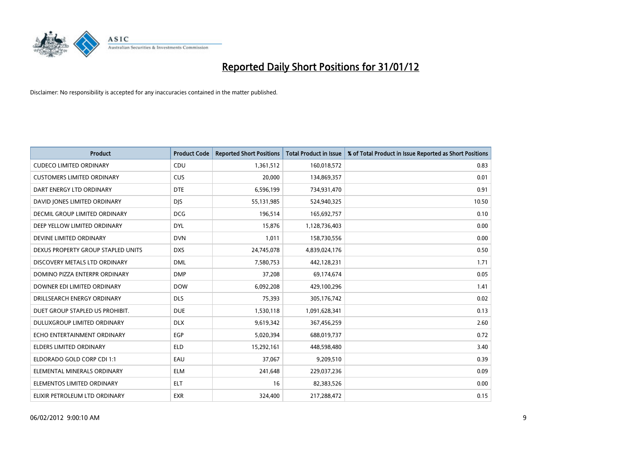

| <b>Product</b>                     | <b>Product Code</b> | <b>Reported Short Positions</b> | <b>Total Product in Issue</b> | % of Total Product in Issue Reported as Short Positions |
|------------------------------------|---------------------|---------------------------------|-------------------------------|---------------------------------------------------------|
| <b>CUDECO LIMITED ORDINARY</b>     | CDU                 | 1,361,512                       | 160,018,572                   | 0.83                                                    |
| <b>CUSTOMERS LIMITED ORDINARY</b>  | <b>CUS</b>          | 20,000                          | 134,869,357                   | 0.01                                                    |
| DART ENERGY LTD ORDINARY           | <b>DTE</b>          | 6,596,199                       | 734,931,470                   | 0.91                                                    |
| DAVID JONES LIMITED ORDINARY       | <b>DJS</b>          | 55,131,985                      | 524,940,325                   | 10.50                                                   |
| DECMIL GROUP LIMITED ORDINARY      | <b>DCG</b>          | 196,514                         | 165,692,757                   | 0.10                                                    |
| DEEP YELLOW LIMITED ORDINARY       | <b>DYL</b>          | 15,876                          | 1,128,736,403                 | 0.00                                                    |
| DEVINE LIMITED ORDINARY            | <b>DVN</b>          | 1,011                           | 158,730,556                   | 0.00                                                    |
| DEXUS PROPERTY GROUP STAPLED UNITS | <b>DXS</b>          | 24,745,078                      | 4,839,024,176                 | 0.50                                                    |
| DISCOVERY METALS LTD ORDINARY      | <b>DML</b>          | 7,580,753                       | 442,128,231                   | 1.71                                                    |
| DOMINO PIZZA ENTERPR ORDINARY      | <b>DMP</b>          | 37,208                          | 69,174,674                    | 0.05                                                    |
| DOWNER EDI LIMITED ORDINARY        | <b>DOW</b>          | 6,092,208                       | 429,100,296                   | 1.41                                                    |
| DRILLSEARCH ENERGY ORDINARY        | <b>DLS</b>          | 75,393                          | 305,176,742                   | 0.02                                                    |
| DUET GROUP STAPLED US PROHIBIT.    | <b>DUE</b>          | 1,530,118                       | 1,091,628,341                 | 0.13                                                    |
| DULUXGROUP LIMITED ORDINARY        | <b>DLX</b>          | 9,619,342                       | 367,456,259                   | 2.60                                                    |
| ECHO ENTERTAINMENT ORDINARY        | EGP                 | 5,020,394                       | 688,019,737                   | 0.72                                                    |
| ELDERS LIMITED ORDINARY            | <b>ELD</b>          | 15,292,161                      | 448,598,480                   | 3.40                                                    |
| ELDORADO GOLD CORP CDI 1:1         | EAU                 | 37,067                          | 9,209,510                     | 0.39                                                    |
| ELEMENTAL MINERALS ORDINARY        | ELM                 | 241,648                         | 229,037,236                   | 0.09                                                    |
| ELEMENTOS LIMITED ORDINARY         | <b>ELT</b>          | 16                              | 82,383,526                    | 0.00                                                    |
| ELIXIR PETROLEUM LTD ORDINARY      | <b>EXR</b>          | 324,400                         | 217,288,472                   | 0.15                                                    |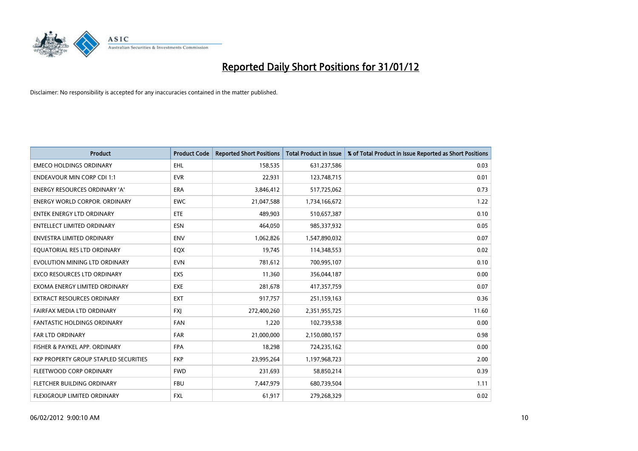

| <b>Product</b>                        | <b>Product Code</b> | <b>Reported Short Positions</b> | <b>Total Product in Issue</b> | % of Total Product in Issue Reported as Short Positions |
|---------------------------------------|---------------------|---------------------------------|-------------------------------|---------------------------------------------------------|
| <b>EMECO HOLDINGS ORDINARY</b>        | <b>EHL</b>          | 158,535                         | 631,237,586                   | 0.03                                                    |
| <b>ENDEAVOUR MIN CORP CDI 1:1</b>     | <b>EVR</b>          | 22,931                          | 123,748,715                   | 0.01                                                    |
| ENERGY RESOURCES ORDINARY 'A'         | <b>ERA</b>          | 3,846,412                       | 517,725,062                   | 0.73                                                    |
| <b>ENERGY WORLD CORPOR, ORDINARY</b>  | <b>EWC</b>          | 21,047,588                      | 1,734,166,672                 | 1.22                                                    |
| <b>ENTEK ENERGY LTD ORDINARY</b>      | ETE                 | 489,903                         | 510,657,387                   | 0.10                                                    |
| <b>ENTELLECT LIMITED ORDINARY</b>     | <b>ESN</b>          | 464,050                         | 985,337,932                   | 0.05                                                    |
| ENVESTRA LIMITED ORDINARY             | <b>ENV</b>          | 1,062,826                       | 1,547,890,032                 | 0.07                                                    |
| EQUATORIAL RES LTD ORDINARY           | EQX                 | 19,745                          | 114,348,553                   | 0.02                                                    |
| EVOLUTION MINING LTD ORDINARY         | <b>EVN</b>          | 781,612                         | 700,995,107                   | 0.10                                                    |
| <b>EXCO RESOURCES LTD ORDINARY</b>    | <b>EXS</b>          | 11,360                          | 356,044,187                   | 0.00                                                    |
| EXOMA ENERGY LIMITED ORDINARY         | <b>EXE</b>          | 281,678                         | 417,357,759                   | 0.07                                                    |
| EXTRACT RESOURCES ORDINARY            | <b>EXT</b>          | 917,757                         | 251,159,163                   | 0.36                                                    |
| FAIRFAX MEDIA LTD ORDINARY            | <b>FXI</b>          | 272,400,260                     | 2,351,955,725                 | 11.60                                                   |
| <b>FANTASTIC HOLDINGS ORDINARY</b>    | <b>FAN</b>          | 1,220                           | 102,739,538                   | 0.00                                                    |
| FAR LTD ORDINARY                      | <b>FAR</b>          | 21,000,000                      | 2,150,080,157                 | 0.98                                                    |
| FISHER & PAYKEL APP. ORDINARY         | <b>FPA</b>          | 18,298                          | 724,235,162                   | 0.00                                                    |
| FKP PROPERTY GROUP STAPLED SECURITIES | <b>FKP</b>          | 23,995,264                      | 1,197,968,723                 | 2.00                                                    |
| FLEETWOOD CORP ORDINARY               | <b>FWD</b>          | 231,693                         | 58,850,214                    | 0.39                                                    |
| FLETCHER BUILDING ORDINARY            | <b>FBU</b>          | 7,447,979                       | 680,739,504                   | 1.11                                                    |
| <b>FLEXIGROUP LIMITED ORDINARY</b>    | FXL                 | 61,917                          | 279,268,329                   | 0.02                                                    |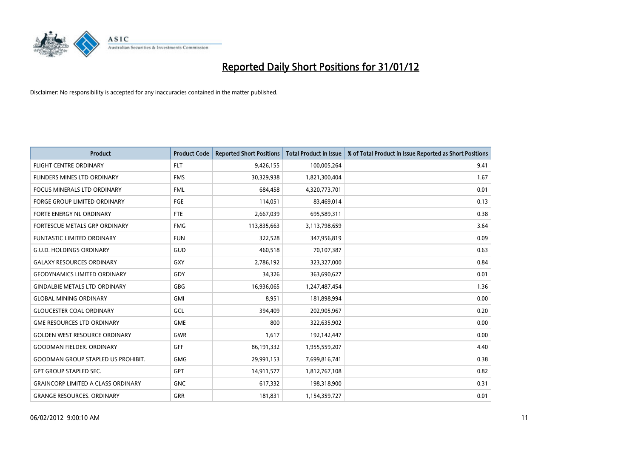

| <b>Product</b>                            | <b>Product Code</b> | <b>Reported Short Positions</b> | <b>Total Product in Issue</b> | % of Total Product in Issue Reported as Short Positions |
|-------------------------------------------|---------------------|---------------------------------|-------------------------------|---------------------------------------------------------|
| <b>FLIGHT CENTRE ORDINARY</b>             | <b>FLT</b>          | 9,426,155                       | 100,005,264                   | 9.41                                                    |
| FLINDERS MINES LTD ORDINARY               | <b>FMS</b>          | 30,329,938                      | 1,821,300,404                 | 1.67                                                    |
| <b>FOCUS MINERALS LTD ORDINARY</b>        | <b>FML</b>          | 684,458                         | 4,320,773,701                 | 0.01                                                    |
| FORGE GROUP LIMITED ORDINARY              | FGE                 | 114,051                         | 83,469,014                    | 0.13                                                    |
| FORTE ENERGY NL ORDINARY                  | FTE                 | 2,667,039                       | 695,589,311                   | 0.38                                                    |
| FORTESCUE METALS GRP ORDINARY             | <b>FMG</b>          | 113,835,663                     | 3,113,798,659                 | 3.64                                                    |
| <b>FUNTASTIC LIMITED ORDINARY</b>         | <b>FUN</b>          | 322,528                         | 347,956,819                   | 0.09                                                    |
| <b>G.U.D. HOLDINGS ORDINARY</b>           | GUD                 | 460,518                         | 70,107,387                    | 0.63                                                    |
| <b>GALAXY RESOURCES ORDINARY</b>          | GXY                 | 2,786,192                       | 323,327,000                   | 0.84                                                    |
| <b>GEODYNAMICS LIMITED ORDINARY</b>       | GDY                 | 34,326                          | 363,690,627                   | 0.01                                                    |
| <b>GINDALBIE METALS LTD ORDINARY</b>      | GBG                 | 16,936,065                      | 1,247,487,454                 | 1.36                                                    |
| <b>GLOBAL MINING ORDINARY</b>             | GMI                 | 8,951                           | 181,898,994                   | 0.00                                                    |
| <b>GLOUCESTER COAL ORDINARY</b>           | GCL                 | 394,409                         | 202,905,967                   | 0.20                                                    |
| <b>GME RESOURCES LTD ORDINARY</b>         | <b>GME</b>          | 800                             | 322,635,902                   | 0.00                                                    |
| <b>GOLDEN WEST RESOURCE ORDINARY</b>      | <b>GWR</b>          | 1,617                           | 192,142,447                   | 0.00                                                    |
| <b>GOODMAN FIELDER. ORDINARY</b>          | <b>GFF</b>          | 86,191,332                      | 1,955,559,207                 | 4.40                                                    |
| <b>GOODMAN GROUP STAPLED US PROHIBIT.</b> | GMG                 | 29,991,153                      | 7,699,816,741                 | 0.38                                                    |
| <b>GPT GROUP STAPLED SEC.</b>             | <b>GPT</b>          | 14,911,577                      | 1,812,767,108                 | 0.82                                                    |
| <b>GRAINCORP LIMITED A CLASS ORDINARY</b> | <b>GNC</b>          | 617,332                         | 198,318,900                   | 0.31                                                    |
| <b>GRANGE RESOURCES. ORDINARY</b>         | GRR                 | 181,831                         | 1,154,359,727                 | 0.01                                                    |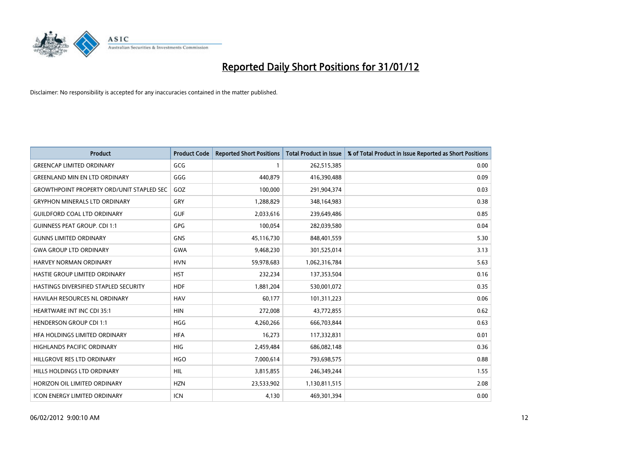

| <b>Product</b>                                   | <b>Product Code</b> | <b>Reported Short Positions</b> | <b>Total Product in Issue</b> | % of Total Product in Issue Reported as Short Positions |
|--------------------------------------------------|---------------------|---------------------------------|-------------------------------|---------------------------------------------------------|
| <b>GREENCAP LIMITED ORDINARY</b>                 | GCG                 | 1                               | 262,515,385                   | 0.00                                                    |
| <b>GREENLAND MIN EN LTD ORDINARY</b>             | GGG                 | 440,879                         | 416,390,488                   | 0.09                                                    |
| <b>GROWTHPOINT PROPERTY ORD/UNIT STAPLED SEC</b> | GOZ                 | 100,000                         | 291,904,374                   | 0.03                                                    |
| <b>GRYPHON MINERALS LTD ORDINARY</b>             | GRY                 | 1,288,829                       | 348,164,983                   | 0.38                                                    |
| <b>GUILDFORD COAL LTD ORDINARY</b>               | <b>GUF</b>          | 2,033,616                       | 239,649,486                   | 0.85                                                    |
| <b>GUINNESS PEAT GROUP. CDI 1:1</b>              | <b>GPG</b>          | 100,054                         | 282,039,580                   | 0.04                                                    |
| <b>GUNNS LIMITED ORDINARY</b>                    | <b>GNS</b>          | 45,116,730                      | 848,401,559                   | 5.30                                                    |
| <b>GWA GROUP LTD ORDINARY</b>                    | <b>GWA</b>          | 9,468,230                       | 301,525,014                   | 3.13                                                    |
| <b>HARVEY NORMAN ORDINARY</b>                    | <b>HVN</b>          | 59,978,683                      | 1,062,316,784                 | 5.63                                                    |
| HASTIE GROUP LIMITED ORDINARY                    | <b>HST</b>          | 232,234                         | 137,353,504                   | 0.16                                                    |
| HASTINGS DIVERSIFIED STAPLED SECURITY            | <b>HDF</b>          | 1,881,204                       | 530,001,072                   | 0.35                                                    |
| <b>HAVILAH RESOURCES NL ORDINARY</b>             | <b>HAV</b>          | 60,177                          | 101,311,223                   | 0.06                                                    |
| HEARTWARE INT INC CDI 35:1                       | <b>HIN</b>          | 272,008                         | 43,772,855                    | 0.62                                                    |
| <b>HENDERSON GROUP CDI 1:1</b>                   | <b>HGG</b>          | 4,260,266                       | 666,703,844                   | 0.63                                                    |
| HFA HOLDINGS LIMITED ORDINARY                    | <b>HFA</b>          | 16,273                          | 117,332,831                   | 0.01                                                    |
| HIGHLANDS PACIFIC ORDINARY                       | HIG                 | 2,459,484                       | 686,082,148                   | 0.36                                                    |
| HILLGROVE RES LTD ORDINARY                       | <b>HGO</b>          | 7,000,614                       | 793,698,575                   | 0.88                                                    |
| HILLS HOLDINGS LTD ORDINARY                      | <b>HIL</b>          | 3,815,855                       | 246,349,244                   | 1.55                                                    |
| HORIZON OIL LIMITED ORDINARY                     | <b>HZN</b>          | 23,533,902                      | 1,130,811,515                 | 2.08                                                    |
| ICON ENERGY LIMITED ORDINARY                     | ICN                 | 4,130                           | 469,301,394                   | 0.00                                                    |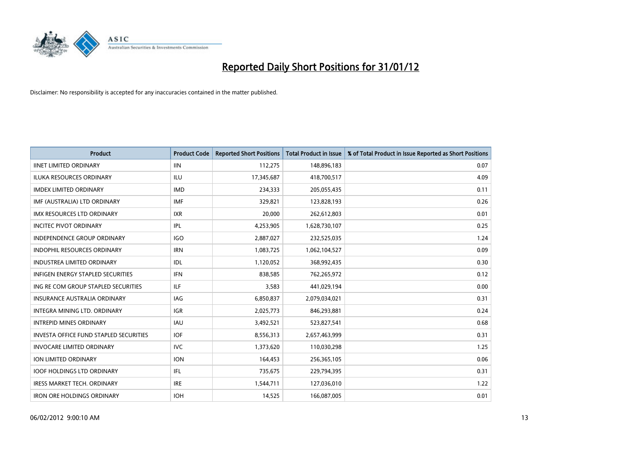

| <b>Product</b>                                | <b>Product Code</b> | <b>Reported Short Positions</b> | <b>Total Product in Issue</b> | % of Total Product in Issue Reported as Short Positions |
|-----------------------------------------------|---------------------|---------------------------------|-------------------------------|---------------------------------------------------------|
| <b>IINET LIMITED ORDINARY</b>                 | <b>IIN</b>          | 112,275                         | 148,896,183                   | 0.07                                                    |
| ILUKA RESOURCES ORDINARY                      | ILU                 | 17,345,687                      | 418,700,517                   | 4.09                                                    |
| <b>IMDEX LIMITED ORDINARY</b>                 | <b>IMD</b>          | 234,333                         | 205,055,435                   | 0.11                                                    |
| IMF (AUSTRALIA) LTD ORDINARY                  | <b>IMF</b>          | 329,821                         | 123,828,193                   | 0.26                                                    |
| <b>IMX RESOURCES LTD ORDINARY</b>             | <b>IXR</b>          | 20,000                          | 262,612,803                   | 0.01                                                    |
| <b>INCITEC PIVOT ORDINARY</b>                 | IPL                 | 4,253,905                       | 1,628,730,107                 | 0.25                                                    |
| <b>INDEPENDENCE GROUP ORDINARY</b>            | <b>IGO</b>          | 2,887,027                       | 232,525,035                   | 1.24                                                    |
| INDOPHIL RESOURCES ORDINARY                   | <b>IRN</b>          | 1,083,725                       | 1,062,104,527                 | 0.09                                                    |
| <b>INDUSTREA LIMITED ORDINARY</b>             | IDL                 | 1,120,052                       | 368,992,435                   | 0.30                                                    |
| <b>INFIGEN ENERGY STAPLED SECURITIES</b>      | <b>IFN</b>          | 838,585                         | 762,265,972                   | 0.12                                                    |
| ING RE COM GROUP STAPLED SECURITIES           | ILF.                | 3,583                           | 441,029,194                   | 0.00                                                    |
| <b>INSURANCE AUSTRALIA ORDINARY</b>           | <b>IAG</b>          | 6,850,837                       | 2,079,034,021                 | 0.31                                                    |
| <b>INTEGRA MINING LTD, ORDINARY</b>           | <b>IGR</b>          | 2,025,773                       | 846,293,881                   | 0.24                                                    |
| <b>INTREPID MINES ORDINARY</b>                | <b>IAU</b>          | 3,492,521                       | 523,827,541                   | 0.68                                                    |
| <b>INVESTA OFFICE FUND STAPLED SECURITIES</b> | <b>IOF</b>          | 8,556,313                       | 2,657,463,999                 | 0.31                                                    |
| <b>INVOCARE LIMITED ORDINARY</b>              | <b>IVC</b>          | 1,373,620                       | 110,030,298                   | 1.25                                                    |
| ION LIMITED ORDINARY                          | <b>ION</b>          | 164,453                         | 256,365,105                   | 0.06                                                    |
| <b>IOOF HOLDINGS LTD ORDINARY</b>             | IFL                 | 735,675                         | 229,794,395                   | 0.31                                                    |
| <b>IRESS MARKET TECH. ORDINARY</b>            | <b>IRE</b>          | 1,544,711                       | 127,036,010                   | 1.22                                                    |
| <b>IRON ORE HOLDINGS ORDINARY</b>             | <b>IOH</b>          | 14,525                          | 166,087,005                   | 0.01                                                    |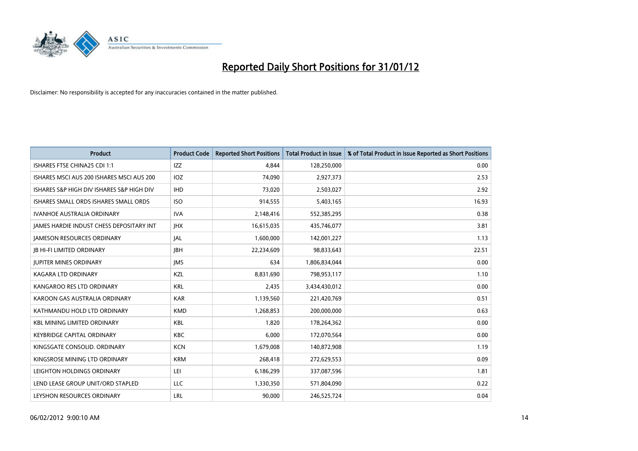

| Product                                   | <b>Product Code</b> | <b>Reported Short Positions</b> | <b>Total Product in Issue</b> | % of Total Product in Issue Reported as Short Positions |
|-------------------------------------------|---------------------|---------------------------------|-------------------------------|---------------------------------------------------------|
| ISHARES FTSE CHINA25 CDI 1:1              | <b>IZZ</b>          | 4.844                           | 128,250,000                   | 0.00                                                    |
| ISHARES MSCI AUS 200 ISHARES MSCI AUS 200 | IOZ                 | 74,090                          | 2,927,373                     | 2.53                                                    |
| ISHARES S&P HIGH DIV ISHARES S&P HIGH DIV | <b>IHD</b>          | 73,020                          | 2,503,027                     | 2.92                                                    |
| ISHARES SMALL ORDS ISHARES SMALL ORDS     | <b>ISO</b>          | 914,555                         | 5,403,165                     | 16.93                                                   |
| <b>IVANHOE AUSTRALIA ORDINARY</b>         | <b>IVA</b>          | 2,148,416                       | 552,385,295                   | 0.38                                                    |
| JAMES HARDIE INDUST CHESS DEPOSITARY INT  | <b>IHX</b>          | 16,615,035                      | 435,746,077                   | 3.81                                                    |
| <b>JAMESON RESOURCES ORDINARY</b>         | <b>JAL</b>          | 1,600,000                       | 142,001,227                   | 1.13                                                    |
| <b>JB HI-FI LIMITED ORDINARY</b>          | <b>IBH</b>          | 22,234,609                      | 98,833,643                    | 22.51                                                   |
| <b>JUPITER MINES ORDINARY</b>             | <b>IMS</b>          | 634                             | 1,806,834,044                 | 0.00                                                    |
| <b>KAGARA LTD ORDINARY</b>                | KZL                 | 8,831,690                       | 798,953,117                   | 1.10                                                    |
| KANGAROO RES LTD ORDINARY                 | <b>KRL</b>          | 2,435                           | 3,434,430,012                 | 0.00                                                    |
| KAROON GAS AUSTRALIA ORDINARY             | <b>KAR</b>          | 1,139,560                       | 221,420,769                   | 0.51                                                    |
| KATHMANDU HOLD LTD ORDINARY               | <b>KMD</b>          | 1,268,853                       | 200,000,000                   | 0.63                                                    |
| <b>KBL MINING LIMITED ORDINARY</b>        | KBL                 | 1,820                           | 178,264,362                   | 0.00                                                    |
| <b>KEYBRIDGE CAPITAL ORDINARY</b>         | <b>KBC</b>          | 6,000                           | 172,070,564                   | 0.00                                                    |
| KINGSGATE CONSOLID. ORDINARY              | <b>KCN</b>          | 1,679,008                       | 140,872,908                   | 1.19                                                    |
| KINGSROSE MINING LTD ORDINARY             | <b>KRM</b>          | 268,418                         | 272,629,553                   | 0.09                                                    |
| LEIGHTON HOLDINGS ORDINARY                | LEI                 | 6,186,299                       | 337,087,596                   | 1.81                                                    |
| LEND LEASE GROUP UNIT/ORD STAPLED         | LLC                 | 1,330,350                       | 571,804,090                   | 0.22                                                    |
| LEYSHON RESOURCES ORDINARY                | LRL                 | 90,000                          | 246,525,724                   | 0.04                                                    |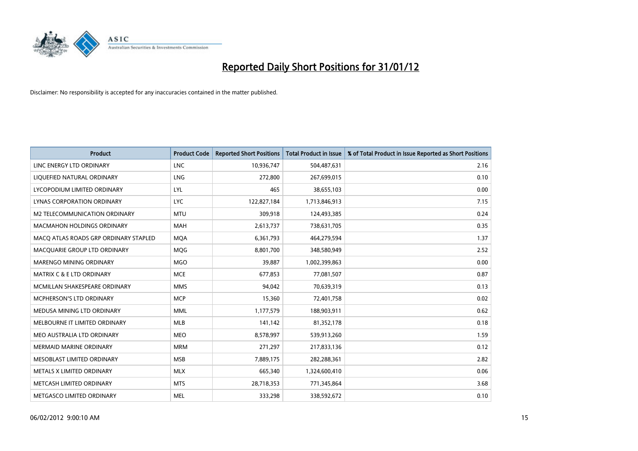

| <b>Product</b>                        | <b>Product Code</b> | <b>Reported Short Positions</b> | <b>Total Product in Issue</b> | % of Total Product in Issue Reported as Short Positions |
|---------------------------------------|---------------------|---------------------------------|-------------------------------|---------------------------------------------------------|
| LINC ENERGY LTD ORDINARY              | <b>LNC</b>          | 10,936,747                      | 504,487,631                   | 2.16                                                    |
| LIQUEFIED NATURAL ORDINARY            | <b>LNG</b>          | 272,800                         | 267,699,015                   | 0.10                                                    |
| LYCOPODIUM LIMITED ORDINARY           | <b>LYL</b>          | 465                             | 38,655,103                    | 0.00                                                    |
| LYNAS CORPORATION ORDINARY            | <b>LYC</b>          | 122,827,184                     | 1,713,846,913                 | 7.15                                                    |
| M2 TELECOMMUNICATION ORDINARY         | <b>MTU</b>          | 309,918                         | 124,493,385                   | 0.24                                                    |
| <b>MACMAHON HOLDINGS ORDINARY</b>     | <b>MAH</b>          | 2,613,737                       | 738,631,705                   | 0.35                                                    |
| MACO ATLAS ROADS GRP ORDINARY STAPLED | <b>MQA</b>          | 6,361,793                       | 464,279,594                   | 1.37                                                    |
| MACQUARIE GROUP LTD ORDINARY          | <b>MQG</b>          | 8,801,700                       | 348,580,949                   | 2.52                                                    |
| MARENGO MINING ORDINARY               | <b>MGO</b>          | 39.887                          | 1,002,399,863                 | 0.00                                                    |
| <b>MATRIX C &amp; E LTD ORDINARY</b>  | <b>MCE</b>          | 677,853                         | 77,081,507                    | 0.87                                                    |
| MCMILLAN SHAKESPEARE ORDINARY         | <b>MMS</b>          | 94,042                          | 70,639,319                    | 0.13                                                    |
| MCPHERSON'S LTD ORDINARY              | <b>MCP</b>          | 15,360                          | 72,401,758                    | 0.02                                                    |
| MEDUSA MINING LTD ORDINARY            | <b>MML</b>          | 1,177,579                       | 188,903,911                   | 0.62                                                    |
| MELBOURNE IT LIMITED ORDINARY         | MLB                 | 141,142                         | 81,352,178                    | 0.18                                                    |
| MEO AUSTRALIA LTD ORDINARY            | <b>MEO</b>          | 8,578,997                       | 539,913,260                   | 1.59                                                    |
| MERMAID MARINE ORDINARY               | <b>MRM</b>          | 271,297                         | 217,833,136                   | 0.12                                                    |
| MESOBLAST LIMITED ORDINARY            | <b>MSB</b>          | 7,889,175                       | 282,288,361                   | 2.82                                                    |
| METALS X LIMITED ORDINARY             | <b>MLX</b>          | 665,340                         | 1,324,600,410                 | 0.06                                                    |
| METCASH LIMITED ORDINARY              | <b>MTS</b>          | 28,718,353                      | 771,345,864                   | 3.68                                                    |
| METGASCO LIMITED ORDINARY             | <b>MEL</b>          | 333,298                         | 338,592,672                   | 0.10                                                    |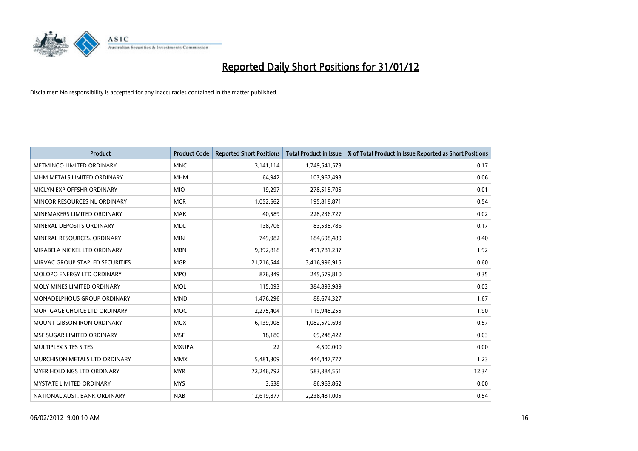

| <b>Product</b>                    | <b>Product Code</b> | <b>Reported Short Positions</b> | <b>Total Product in Issue</b> | % of Total Product in Issue Reported as Short Positions |
|-----------------------------------|---------------------|---------------------------------|-------------------------------|---------------------------------------------------------|
| METMINCO LIMITED ORDINARY         | <b>MNC</b>          | 3,141,114                       | 1,749,541,573                 | 0.17                                                    |
| MHM METALS LIMITED ORDINARY       | <b>MHM</b>          | 64,942                          | 103,967,493                   | 0.06                                                    |
| MICLYN EXP OFFSHR ORDINARY        | <b>MIO</b>          | 19,297                          | 278,515,705                   | 0.01                                                    |
| MINCOR RESOURCES NL ORDINARY      | <b>MCR</b>          | 1,052,662                       | 195,818,871                   | 0.54                                                    |
| MINEMAKERS LIMITED ORDINARY       | <b>MAK</b>          | 40,589                          | 228,236,727                   | 0.02                                                    |
| MINERAL DEPOSITS ORDINARY         | <b>MDL</b>          | 138,706                         | 83,538,786                    | 0.17                                                    |
| MINERAL RESOURCES, ORDINARY       | <b>MIN</b>          | 749,982                         | 184,698,489                   | 0.40                                                    |
| MIRABELA NICKEL LTD ORDINARY      | <b>MBN</b>          | 9,392,818                       | 491,781,237                   | 1.92                                                    |
| MIRVAC GROUP STAPLED SECURITIES   | <b>MGR</b>          | 21,216,544                      | 3,416,996,915                 | 0.60                                                    |
| MOLOPO ENERGY LTD ORDINARY        | <b>MPO</b>          | 876,349                         | 245,579,810                   | 0.35                                                    |
| MOLY MINES LIMITED ORDINARY       | <b>MOL</b>          | 115,093                         | 384,893,989                   | 0.03                                                    |
| MONADELPHOUS GROUP ORDINARY       | <b>MND</b>          | 1,476,296                       | 88,674,327                    | 1.67                                                    |
| MORTGAGE CHOICE LTD ORDINARY      | MOC                 | 2,275,404                       | 119,948,255                   | 1.90                                                    |
| <b>MOUNT GIBSON IRON ORDINARY</b> | <b>MGX</b>          | 6,139,908                       | 1,082,570,693                 | 0.57                                                    |
| MSF SUGAR LIMITED ORDINARY        | <b>MSF</b>          | 18,180                          | 69,248,422                    | 0.03                                                    |
| MULTIPLEX SITES SITES             | <b>MXUPA</b>        | 22                              | 4,500,000                     | 0.00                                                    |
| MURCHISON METALS LTD ORDINARY     | <b>MMX</b>          | 5,481,309                       | 444,447,777                   | 1.23                                                    |
| MYER HOLDINGS LTD ORDINARY        | <b>MYR</b>          | 72,246,792                      | 583,384,551                   | 12.34                                                   |
| <b>MYSTATE LIMITED ORDINARY</b>   | <b>MYS</b>          | 3,638                           | 86,963,862                    | 0.00                                                    |
| NATIONAL AUST. BANK ORDINARY      | <b>NAB</b>          | 12,619,877                      | 2,238,481,005                 | 0.54                                                    |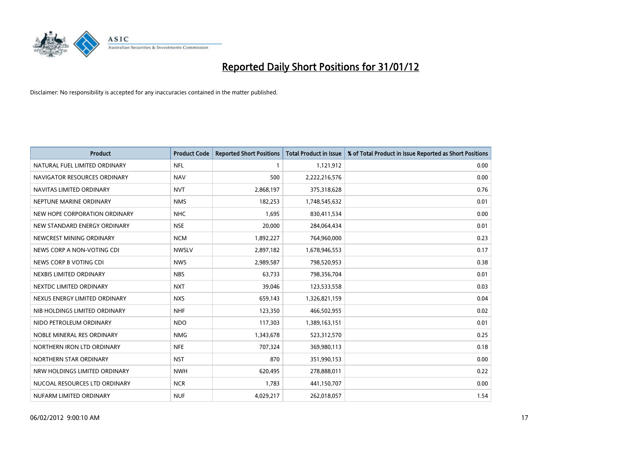

| <b>Product</b>                | <b>Product Code</b> | <b>Reported Short Positions</b> | <b>Total Product in Issue</b> | % of Total Product in Issue Reported as Short Positions |
|-------------------------------|---------------------|---------------------------------|-------------------------------|---------------------------------------------------------|
| NATURAL FUEL LIMITED ORDINARY | <b>NFL</b>          | $\mathbf{1}$                    | 1,121,912                     | 0.00                                                    |
| NAVIGATOR RESOURCES ORDINARY  | <b>NAV</b>          | 500                             | 2,222,216,576                 | 0.00                                                    |
| NAVITAS LIMITED ORDINARY      | <b>NVT</b>          | 2,868,197                       | 375,318,628                   | 0.76                                                    |
| NEPTUNE MARINE ORDINARY       | <b>NMS</b>          | 182,253                         | 1,748,545,632                 | 0.01                                                    |
| NEW HOPE CORPORATION ORDINARY | NHC                 | 1,695                           | 830,411,534                   | 0.00                                                    |
| NEW STANDARD ENERGY ORDINARY  | <b>NSE</b>          | 20,000                          | 284,064,434                   | 0.01                                                    |
| NEWCREST MINING ORDINARY      | <b>NCM</b>          | 1,892,227                       | 764,960,000                   | 0.23                                                    |
| NEWS CORP A NON-VOTING CDI    | <b>NWSLV</b>        | 2,897,182                       | 1,678,946,553                 | 0.17                                                    |
| NEWS CORP B VOTING CDI        | <b>NWS</b>          | 2,989,587                       | 798,520,953                   | 0.38                                                    |
| NEXBIS LIMITED ORDINARY       | <b>NBS</b>          | 63,733                          | 798,356,704                   | 0.01                                                    |
| NEXTDC LIMITED ORDINARY       | <b>NXT</b>          | 39,046                          | 123,533,558                   | 0.03                                                    |
| NEXUS ENERGY LIMITED ORDINARY | <b>NXS</b>          | 659,143                         | 1,326,821,159                 | 0.04                                                    |
| NIB HOLDINGS LIMITED ORDINARY | <b>NHF</b>          | 123,350                         | 466,502,955                   | 0.02                                                    |
| NIDO PETROLEUM ORDINARY       | <b>NDO</b>          | 117,303                         | 1,389,163,151                 | 0.01                                                    |
| NOBLE MINERAL RES ORDINARY    | <b>NMG</b>          | 1,343,678                       | 523,312,570                   | 0.25                                                    |
| NORTHERN IRON LTD ORDINARY    | <b>NFE</b>          | 707,324                         | 369,980,113                   | 0.18                                                    |
| NORTHERN STAR ORDINARY        | <b>NST</b>          | 870                             | 351,990,153                   | 0.00                                                    |
| NRW HOLDINGS LIMITED ORDINARY | <b>NWH</b>          | 620,495                         | 278,888,011                   | 0.22                                                    |
| NUCOAL RESOURCES LTD ORDINARY | <b>NCR</b>          | 1,783                           | 441,150,707                   | 0.00                                                    |
| NUFARM LIMITED ORDINARY       | <b>NUF</b>          | 4,029,217                       | 262,018,057                   | 1.54                                                    |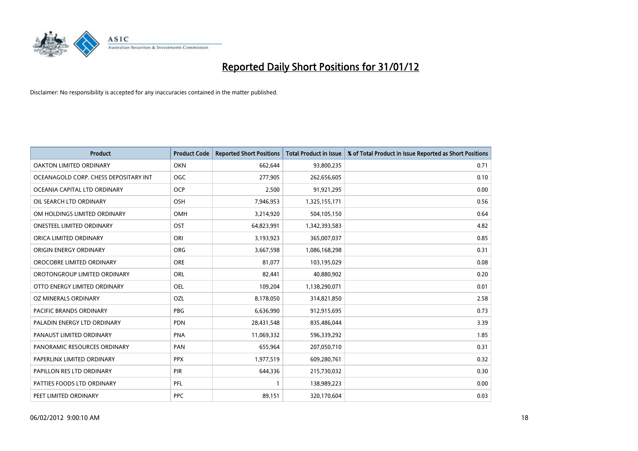

| <b>Product</b>                        | <b>Product Code</b> | <b>Reported Short Positions</b> | <b>Total Product in Issue</b> | % of Total Product in Issue Reported as Short Positions |
|---------------------------------------|---------------------|---------------------------------|-------------------------------|---------------------------------------------------------|
| <b>OAKTON LIMITED ORDINARY</b>        | <b>OKN</b>          | 662,644                         | 93,800,235                    | 0.71                                                    |
| OCEANAGOLD CORP. CHESS DEPOSITARY INT | OGC                 | 277,905                         | 262,656,605                   | 0.10                                                    |
| OCEANIA CAPITAL LTD ORDINARY          | <b>OCP</b>          | 2,500                           | 91,921,295                    | 0.00                                                    |
| OIL SEARCH LTD ORDINARY               | OSH                 | 7,946,953                       | 1,325,155,171                 | 0.56                                                    |
| OM HOLDINGS LIMITED ORDINARY          | OMH                 | 3,214,920                       | 504,105,150                   | 0.64                                                    |
| <b>ONESTEEL LIMITED ORDINARY</b>      | OST                 | 64,823,991                      | 1,342,393,583                 | 4.82                                                    |
| ORICA LIMITED ORDINARY                | ORI                 | 3,193,923                       | 365,007,037                   | 0.85                                                    |
| ORIGIN ENERGY ORDINARY                | <b>ORG</b>          | 3,667,598                       | 1,086,168,298                 | 0.31                                                    |
| OROCOBRE LIMITED ORDINARY             | <b>ORE</b>          | 81,077                          | 103,195,029                   | 0.08                                                    |
| OROTONGROUP LIMITED ORDINARY          | ORL                 | 82,441                          | 40,880,902                    | 0.20                                                    |
| OTTO ENERGY LIMITED ORDINARY          | OEL                 | 109,204                         | 1,138,290,071                 | 0.01                                                    |
| OZ MINERALS ORDINARY                  | OZL                 | 8,178,050                       | 314,821,850                   | 2.58                                                    |
| PACIFIC BRANDS ORDINARY               | <b>PBG</b>          | 6,636,990                       | 912,915,695                   | 0.73                                                    |
| PALADIN ENERGY LTD ORDINARY           | PDN                 | 28,431,548                      | 835,486,044                   | 3.39                                                    |
| PANAUST LIMITED ORDINARY              | <b>PNA</b>          | 11,069,332                      | 596,339,292                   | 1.85                                                    |
| PANORAMIC RESOURCES ORDINARY          | PAN                 | 655,964                         | 207,050,710                   | 0.31                                                    |
| PAPERLINX LIMITED ORDINARY            | <b>PPX</b>          | 1,977,519                       | 609,280,761                   | 0.32                                                    |
| PAPILLON RES LTD ORDINARY             | PIR                 | 644,336                         | 215,730,032                   | 0.30                                                    |
| PATTIES FOODS LTD ORDINARY            | PFL                 | 1                               | 138,989,223                   | 0.00                                                    |
| PEET LIMITED ORDINARY                 | <b>PPC</b>          | 89,151                          | 320,170,604                   | 0.03                                                    |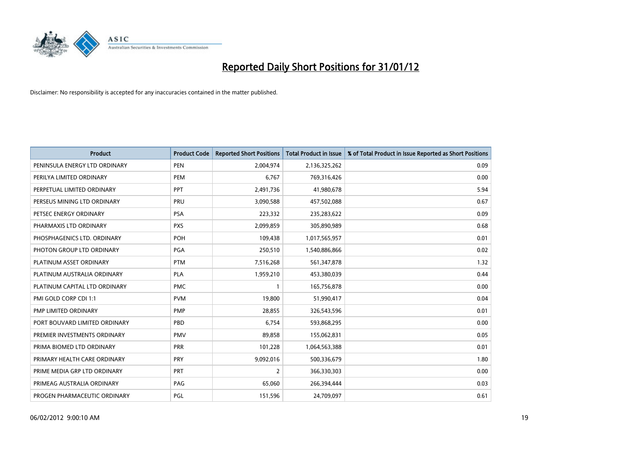

| <b>Product</b>                | <b>Product Code</b> | <b>Reported Short Positions</b> | <b>Total Product in Issue</b> | % of Total Product in Issue Reported as Short Positions |
|-------------------------------|---------------------|---------------------------------|-------------------------------|---------------------------------------------------------|
| PENINSULA ENERGY LTD ORDINARY | <b>PEN</b>          | 2,004,974                       | 2,136,325,262                 | 0.09                                                    |
| PERILYA LIMITED ORDINARY      | <b>PEM</b>          | 6,767                           | 769,316,426                   | 0.00                                                    |
| PERPETUAL LIMITED ORDINARY    | <b>PPT</b>          | 2,491,736                       | 41,980,678                    | 5.94                                                    |
| PERSEUS MINING LTD ORDINARY   | PRU                 | 3,090,588                       | 457,502,088                   | 0.67                                                    |
| PETSEC ENERGY ORDINARY        | <b>PSA</b>          | 223,332                         | 235,283,622                   | 0.09                                                    |
| PHARMAXIS LTD ORDINARY        | <b>PXS</b>          | 2,099,859                       | 305,890,989                   | 0.68                                                    |
| PHOSPHAGENICS LTD. ORDINARY   | POH                 | 109,438                         | 1,017,565,957                 | 0.01                                                    |
| PHOTON GROUP LTD ORDINARY     | PGA                 | 250,510                         | 1,540,886,866                 | 0.02                                                    |
| PLATINUM ASSET ORDINARY       | <b>PTM</b>          | 7,516,268                       | 561,347,878                   | 1.32                                                    |
| PLATINUM AUSTRALIA ORDINARY   | <b>PLA</b>          | 1,959,210                       | 453,380,039                   | 0.44                                                    |
| PLATINUM CAPITAL LTD ORDINARY | <b>PMC</b>          | 1                               | 165,756,878                   | 0.00                                                    |
| PMI GOLD CORP CDI 1:1         | <b>PVM</b>          | 19,800                          | 51,990,417                    | 0.04                                                    |
| PMP LIMITED ORDINARY          | <b>PMP</b>          | 28,855                          | 326,543,596                   | 0.01                                                    |
| PORT BOUVARD LIMITED ORDINARY | PBD                 | 6,754                           | 593,868,295                   | 0.00                                                    |
| PREMIER INVESTMENTS ORDINARY  | <b>PMV</b>          | 89,858                          | 155,062,831                   | 0.05                                                    |
| PRIMA BIOMED LTD ORDINARY     | <b>PRR</b>          | 101,228                         | 1,064,563,388                 | 0.01                                                    |
| PRIMARY HEALTH CARE ORDINARY  | <b>PRY</b>          | 9,092,016                       | 500,336,679                   | 1.80                                                    |
| PRIME MEDIA GRP LTD ORDINARY  | <b>PRT</b>          | $\overline{2}$                  | 366,330,303                   | 0.00                                                    |
| PRIMEAG AUSTRALIA ORDINARY    | PAG                 | 65,060                          | 266,394,444                   | 0.03                                                    |
| PROGEN PHARMACEUTIC ORDINARY  | PGL                 | 151,596                         | 24,709,097                    | 0.61                                                    |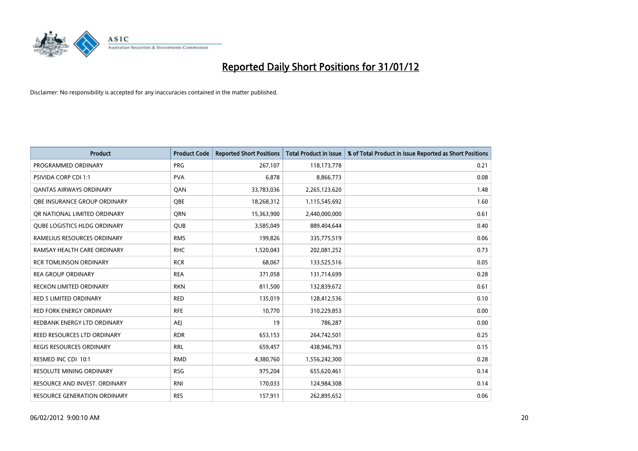

| <b>Product</b>                     | <b>Product Code</b> | <b>Reported Short Positions</b> | <b>Total Product in Issue</b> | % of Total Product in Issue Reported as Short Positions |
|------------------------------------|---------------------|---------------------------------|-------------------------------|---------------------------------------------------------|
| PROGRAMMED ORDINARY                | <b>PRG</b>          | 267,107                         | 118,173,778                   | 0.21                                                    |
| PSIVIDA CORP CDI 1:1               | <b>PVA</b>          | 6,878                           | 8,866,773                     | 0.08                                                    |
| OANTAS AIRWAYS ORDINARY            | QAN                 | 33,783,036                      | 2,265,123,620                 | 1.48                                                    |
| OBE INSURANCE GROUP ORDINARY       | <b>OBE</b>          | 18,268,312                      | 1,115,545,692                 | 1.60                                                    |
| OR NATIONAL LIMITED ORDINARY       | <b>ORN</b>          | 15,363,900                      | 2,440,000,000                 | 0.61                                                    |
| QUBE LOGISTICS HLDG ORDINARY       | <b>QUB</b>          | 3,585,049                       | 889,404,644                   | 0.40                                                    |
| RAMELIUS RESOURCES ORDINARY        | <b>RMS</b>          | 199,826                         | 335,775,519                   | 0.06                                                    |
| RAMSAY HEALTH CARE ORDINARY        | <b>RHC</b>          | 1,520,043                       | 202,081,252                   | 0.73                                                    |
| <b>RCR TOMLINSON ORDINARY</b>      | <b>RCR</b>          | 68,067                          | 133,525,516                   | 0.05                                                    |
| <b>REA GROUP ORDINARY</b>          | <b>REA</b>          | 371,058                         | 131,714,699                   | 0.28                                                    |
| RECKON LIMITED ORDINARY            | <b>RKN</b>          | 811,500                         | 132,839,672                   | 0.61                                                    |
| <b>RED 5 LIMITED ORDINARY</b>      | <b>RED</b>          | 135,019                         | 128,412,536                   | 0.10                                                    |
| RED FORK ENERGY ORDINARY           | <b>RFE</b>          | 10,770                          | 310,229,853                   | 0.00                                                    |
| REDBANK ENERGY LTD ORDINARY        | <b>AEJ</b>          | 19                              | 786,287                       | 0.00                                                    |
| <b>REED RESOURCES LTD ORDINARY</b> | <b>RDR</b>          | 653,153                         | 264,742,501                   | 0.25                                                    |
| <b>REGIS RESOURCES ORDINARY</b>    | <b>RRL</b>          | 659,457                         | 438,946,793                   | 0.15                                                    |
| RESMED INC CDI 10:1                | <b>RMD</b>          | 4,380,760                       | 1,556,242,300                 | 0.28                                                    |
| RESOLUTE MINING ORDINARY           | <b>RSG</b>          | 975,204                         | 655,620,461                   | 0.14                                                    |
| RESOURCE AND INVEST. ORDINARY      | <b>RNI</b>          | 170,033                         | 124,984,308                   | 0.14                                                    |
| RESOURCE GENERATION ORDINARY       | <b>RES</b>          | 157,911                         | 262,895,652                   | 0.06                                                    |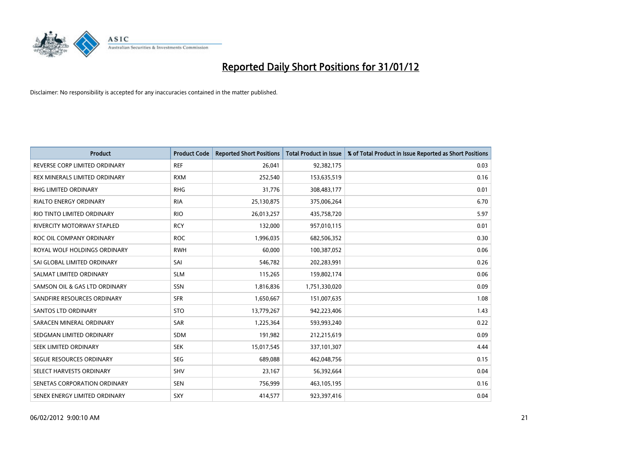

| <b>Product</b>                | <b>Product Code</b> | <b>Reported Short Positions</b> | <b>Total Product in Issue</b> | % of Total Product in Issue Reported as Short Positions |
|-------------------------------|---------------------|---------------------------------|-------------------------------|---------------------------------------------------------|
| REVERSE CORP LIMITED ORDINARY | <b>REF</b>          | 26,041                          | 92,382,175                    | 0.03                                                    |
| REX MINERALS LIMITED ORDINARY | <b>RXM</b>          | 252,540                         | 153,635,519                   | 0.16                                                    |
| RHG LIMITED ORDINARY          | <b>RHG</b>          | 31,776                          | 308,483,177                   | 0.01                                                    |
| <b>RIALTO ENERGY ORDINARY</b> | <b>RIA</b>          | 25,130,875                      | 375,006,264                   | 6.70                                                    |
| RIO TINTO LIMITED ORDINARY    | <b>RIO</b>          | 26,013,257                      | 435,758,720                   | 5.97                                                    |
| RIVERCITY MOTORWAY STAPLED    | <b>RCY</b>          | 132,000                         | 957,010,115                   | 0.01                                                    |
| ROC OIL COMPANY ORDINARY      | <b>ROC</b>          | 1,996,035                       | 682,506,352                   | 0.30                                                    |
| ROYAL WOLF HOLDINGS ORDINARY  | <b>RWH</b>          | 60,000                          | 100,387,052                   | 0.06                                                    |
| SAI GLOBAL LIMITED ORDINARY   | SAI                 | 546,782                         | 202,283,991                   | 0.26                                                    |
| SALMAT LIMITED ORDINARY       | <b>SLM</b>          | 115,265                         | 159,802,174                   | 0.06                                                    |
| SAMSON OIL & GAS LTD ORDINARY | SSN                 | 1,816,836                       | 1,751,330,020                 | 0.09                                                    |
| SANDFIRE RESOURCES ORDINARY   | <b>SFR</b>          | 1,650,667                       | 151,007,635                   | 1.08                                                    |
| SANTOS LTD ORDINARY           | <b>STO</b>          | 13,779,267                      | 942,223,406                   | 1.43                                                    |
| SARACEN MINERAL ORDINARY      | SAR                 | 1,225,364                       | 593,993,240                   | 0.22                                                    |
| SEDGMAN LIMITED ORDINARY      | <b>SDM</b>          | 191,982                         | 212,215,619                   | 0.09                                                    |
| SEEK LIMITED ORDINARY         | <b>SEK</b>          | 15,017,545                      | 337,101,307                   | 4.44                                                    |
| SEGUE RESOURCES ORDINARY      | <b>SEG</b>          | 689,088                         | 462,048,756                   | 0.15                                                    |
| SELECT HARVESTS ORDINARY      | SHV                 | 23,167                          | 56,392,664                    | 0.04                                                    |
| SENETAS CORPORATION ORDINARY  | <b>SEN</b>          | 756,999                         | 463,105,195                   | 0.16                                                    |
| SENEX ENERGY LIMITED ORDINARY | <b>SXY</b>          | 414,577                         | 923,397,416                   | 0.04                                                    |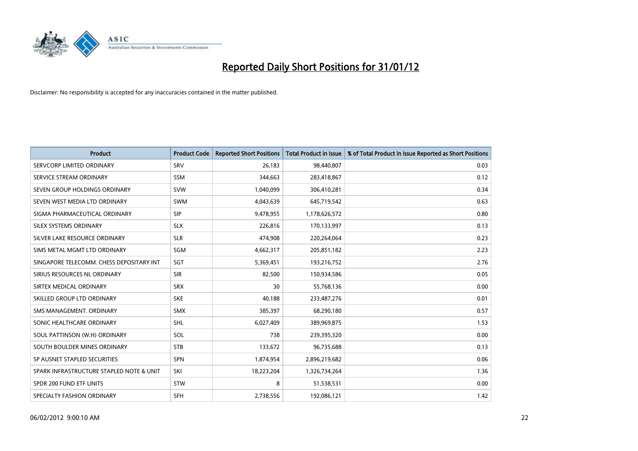

| <b>Product</b>                           | <b>Product Code</b> | <b>Reported Short Positions</b> | <b>Total Product in Issue</b> | % of Total Product in Issue Reported as Short Positions |
|------------------------------------------|---------------------|---------------------------------|-------------------------------|---------------------------------------------------------|
| SERVCORP LIMITED ORDINARY                | SRV                 | 26,183                          | 98,440,807                    | 0.03                                                    |
| SERVICE STREAM ORDINARY                  | SSM                 | 344,663                         | 283,418,867                   | 0.12                                                    |
| SEVEN GROUP HOLDINGS ORDINARY            | <b>SVW</b>          | 1,040,099                       | 306,410,281                   | 0.34                                                    |
| SEVEN WEST MEDIA LTD ORDINARY            | <b>SWM</b>          | 4,043,639                       | 645,719,542                   | 0.63                                                    |
| SIGMA PHARMACEUTICAL ORDINARY            | <b>SIP</b>          | 9,478,955                       | 1,178,626,572                 | 0.80                                                    |
| SILEX SYSTEMS ORDINARY                   | <b>SLX</b>          | 226,816                         | 170,133,997                   | 0.13                                                    |
| SILVER LAKE RESOURCE ORDINARY            | <b>SLR</b>          | 474,908                         | 220,264,064                   | 0.23                                                    |
| SIMS METAL MGMT LTD ORDINARY             | SGM                 | 4,662,317                       | 205,851,182                   | 2.23                                                    |
| SINGAPORE TELECOMM. CHESS DEPOSITARY INT | SGT                 | 5,369,451                       | 193,216,752                   | 2.76                                                    |
| SIRIUS RESOURCES NL ORDINARY             | <b>SIR</b>          | 82,500                          | 150,934,586                   | 0.05                                                    |
| SIRTEX MEDICAL ORDINARY                  | <b>SRX</b>          | 30                              | 55,768,136                    | 0.00                                                    |
| SKILLED GROUP LTD ORDINARY               | <b>SKE</b>          | 40,188                          | 233,487,276                   | 0.01                                                    |
| SMS MANAGEMENT. ORDINARY                 | <b>SMX</b>          | 385,397                         | 68,290,180                    | 0.57                                                    |
| SONIC HEALTHCARE ORDINARY                | <b>SHL</b>          | 6,027,409                       | 389,969,875                   | 1.53                                                    |
| SOUL PATTINSON (W.H) ORDINARY            | SOL                 | 738                             | 239,395,320                   | 0.00                                                    |
| SOUTH BOULDER MINES ORDINARY             | <b>STB</b>          | 133,672                         | 96,735,688                    | 0.13                                                    |
| SP AUSNET STAPLED SECURITIES             | SPN                 | 1,874,954                       | 2,896,219,682                 | 0.06                                                    |
| SPARK INFRASTRUCTURE STAPLED NOTE & UNIT | SKI                 | 18,223,204                      | 1,326,734,264                 | 1.36                                                    |
| SPDR 200 FUND ETF UNITS                  | <b>STW</b>          | 8                               | 51,538,531                    | 0.00                                                    |
| SPECIALTY FASHION ORDINARY               | <b>SFH</b>          | 2,738,556                       | 192,086,121                   | 1.42                                                    |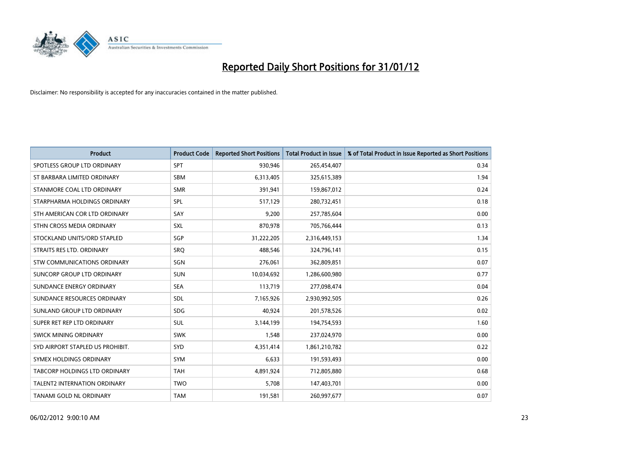

| <b>Product</b>                      | <b>Product Code</b> | <b>Reported Short Positions</b> | <b>Total Product in Issue</b> | % of Total Product in Issue Reported as Short Positions |
|-------------------------------------|---------------------|---------------------------------|-------------------------------|---------------------------------------------------------|
| SPOTLESS GROUP LTD ORDINARY         | <b>SPT</b>          | 930,946                         | 265,454,407                   | 0.34                                                    |
| ST BARBARA LIMITED ORDINARY         | <b>SBM</b>          | 6,313,405                       | 325,615,389                   | 1.94                                                    |
| STANMORE COAL LTD ORDINARY          | <b>SMR</b>          | 391,941                         | 159,867,012                   | 0.24                                                    |
| STARPHARMA HOLDINGS ORDINARY        | <b>SPL</b>          | 517,129                         | 280,732,451                   | 0.18                                                    |
| STH AMERICAN COR LTD ORDINARY       | SAY                 | 9,200                           | 257,785,604                   | 0.00                                                    |
| STHN CROSS MEDIA ORDINARY           | <b>SXL</b>          | 870,978                         | 705,766,444                   | 0.13                                                    |
| STOCKLAND UNITS/ORD STAPLED         | <b>SGP</b>          | 31,222,205                      | 2,316,449,153                 | 1.34                                                    |
| STRAITS RES LTD. ORDINARY           | SRO                 | 488,546                         | 324,796,141                   | 0.15                                                    |
| STW COMMUNICATIONS ORDINARY         | <b>SGN</b>          | 276,061                         | 362,809,851                   | 0.07                                                    |
| SUNCORP GROUP LTD ORDINARY          | <b>SUN</b>          | 10,034,692                      | 1,286,600,980                 | 0.77                                                    |
| SUNDANCE ENERGY ORDINARY            | <b>SEA</b>          | 113,719                         | 277,098,474                   | 0.04                                                    |
| SUNDANCE RESOURCES ORDINARY         | <b>SDL</b>          | 7,165,926                       | 2,930,992,505                 | 0.26                                                    |
| SUNLAND GROUP LTD ORDINARY          | <b>SDG</b>          | 40,924                          | 201,578,526                   | 0.02                                                    |
| SUPER RET REP LTD ORDINARY          | SUL                 | 3,144,199                       | 194,754,593                   | 1.60                                                    |
| SWICK MINING ORDINARY               | <b>SWK</b>          | 1,548                           | 237,024,970                   | 0.00                                                    |
| SYD AIRPORT STAPLED US PROHIBIT.    | SYD                 | 4,351,414                       | 1,861,210,782                 | 0.22                                                    |
| SYMEX HOLDINGS ORDINARY             | SYM                 | 6,633                           | 191,593,493                   | 0.00                                                    |
| TABCORP HOLDINGS LTD ORDINARY       | <b>TAH</b>          | 4,891,924                       | 712,805,880                   | 0.68                                                    |
| <b>TALENT2 INTERNATION ORDINARY</b> | <b>TWO</b>          | 5,708                           | 147,403,701                   | 0.00                                                    |
| TANAMI GOLD NL ORDINARY             | <b>TAM</b>          | 191,581                         | 260,997,677                   | 0.07                                                    |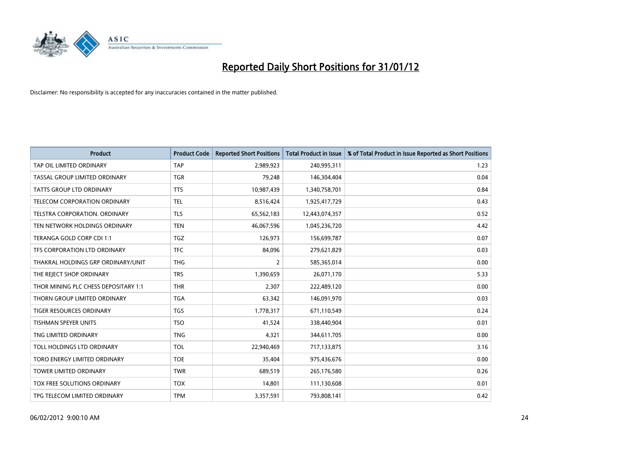

| <b>Product</b>                       | <b>Product Code</b> | <b>Reported Short Positions</b> | <b>Total Product in Issue</b> | % of Total Product in Issue Reported as Short Positions |
|--------------------------------------|---------------------|---------------------------------|-------------------------------|---------------------------------------------------------|
| TAP OIL LIMITED ORDINARY             | <b>TAP</b>          | 2,989,923                       | 240,995,311                   | 1.23                                                    |
| TASSAL GROUP LIMITED ORDINARY        | <b>TGR</b>          | 79,248                          | 146,304,404                   | 0.04                                                    |
| <b>TATTS GROUP LTD ORDINARY</b>      | <b>TTS</b>          | 10,987,439                      | 1,340,758,701                 | 0.84                                                    |
| TELECOM CORPORATION ORDINARY         | <b>TEL</b>          | 8,516,424                       | 1,925,417,729                 | 0.43                                                    |
| TELSTRA CORPORATION, ORDINARY        | <b>TLS</b>          | 65,562,183                      | 12,443,074,357                | 0.52                                                    |
| TEN NETWORK HOLDINGS ORDINARY        | <b>TEN</b>          | 46,067,596                      | 1,045,236,720                 | 4.42                                                    |
| TERANGA GOLD CORP CDI 1:1            | <b>TGZ</b>          | 126,973                         | 156,699,787                   | 0.07                                                    |
| TFS CORPORATION LTD ORDINARY         | <b>TFC</b>          | 84,096                          | 279,621,829                   | 0.03                                                    |
| THAKRAL HOLDINGS GRP ORDINARY/UNIT   | <b>THG</b>          | $\overline{2}$                  | 585,365,014                   | 0.00                                                    |
| THE REJECT SHOP ORDINARY             | <b>TRS</b>          | 1,390,659                       | 26,071,170                    | 5.33                                                    |
| THOR MINING PLC CHESS DEPOSITARY 1:1 | <b>THR</b>          | 2,307                           | 222,489,120                   | 0.00                                                    |
| THORN GROUP LIMITED ORDINARY         | <b>TGA</b>          | 63,342                          | 146,091,970                   | 0.03                                                    |
| <b>TIGER RESOURCES ORDINARY</b>      | <b>TGS</b>          | 1,778,317                       | 671,110,549                   | 0.24                                                    |
| <b>TISHMAN SPEYER UNITS</b>          | <b>TSO</b>          | 41,524                          | 338,440,904                   | 0.01                                                    |
| TNG LIMITED ORDINARY                 | <b>TNG</b>          | 4,321                           | 344,611,705                   | 0.00                                                    |
| TOLL HOLDINGS LTD ORDINARY           | <b>TOL</b>          | 22,940,469                      | 717,133,875                   | 3.16                                                    |
| TORO ENERGY LIMITED ORDINARY         | <b>TOE</b>          | 35,404                          | 975,436,676                   | 0.00                                                    |
| <b>TOWER LIMITED ORDINARY</b>        | <b>TWR</b>          | 689,519                         | 265,176,580                   | 0.26                                                    |
| TOX FREE SOLUTIONS ORDINARY          | <b>TOX</b>          | 14,801                          | 111,130,608                   | 0.01                                                    |
| TPG TELECOM LIMITED ORDINARY         | <b>TPM</b>          | 3,357,591                       | 793,808,141                   | 0.42                                                    |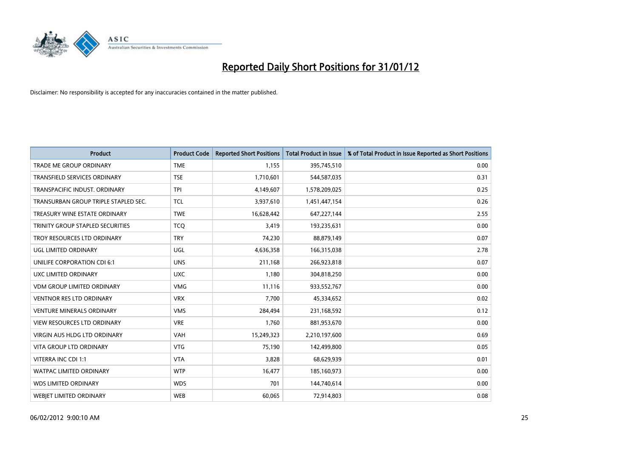

| <b>Product</b>                       | <b>Product Code</b> | <b>Reported Short Positions</b> | <b>Total Product in Issue</b> | % of Total Product in Issue Reported as Short Positions |
|--------------------------------------|---------------------|---------------------------------|-------------------------------|---------------------------------------------------------|
| <b>TRADE ME GROUP ORDINARY</b>       | <b>TME</b>          | 1,155                           | 395,745,510                   | 0.00                                                    |
| TRANSFIELD SERVICES ORDINARY         | <b>TSE</b>          | 1,710,601                       | 544,587,035                   | 0.31                                                    |
| TRANSPACIFIC INDUST. ORDINARY        | <b>TPI</b>          | 4,149,607                       | 1,578,209,025                 | 0.25                                                    |
| TRANSURBAN GROUP TRIPLE STAPLED SEC. | <b>TCL</b>          | 3,937,610                       | 1,451,447,154                 | 0.26                                                    |
| TREASURY WINE ESTATE ORDINARY        | <b>TWE</b>          | 16,628,442                      | 647,227,144                   | 2.55                                                    |
| TRINITY GROUP STAPLED SECURITIES     | <b>TCQ</b>          | 3,419                           | 193,235,631                   | 0.00                                                    |
| TROY RESOURCES LTD ORDINARY          | <b>TRY</b>          | 74,230                          | 88,879,149                    | 0.07                                                    |
| UGL LIMITED ORDINARY                 | UGL                 | 4,636,358                       | 166,315,038                   | 2.78                                                    |
| UNILIFE CORPORATION CDI 6:1          | <b>UNS</b>          | 211,168                         | 266,923,818                   | 0.07                                                    |
| UXC LIMITED ORDINARY                 | <b>UXC</b>          | 1,180                           | 304,818,250                   | 0.00                                                    |
| VDM GROUP LIMITED ORDINARY           | <b>VMG</b>          | 11,116                          | 933,552,767                   | 0.00                                                    |
| <b>VENTNOR RES LTD ORDINARY</b>      | <b>VRX</b>          | 7,700                           | 45,334,652                    | 0.02                                                    |
| <b>VENTURE MINERALS ORDINARY</b>     | <b>VMS</b>          | 284,494                         | 231,168,592                   | 0.12                                                    |
| <b>VIEW RESOURCES LTD ORDINARY</b>   | <b>VRE</b>          | 1,760                           | 881,953,670                   | 0.00                                                    |
| <b>VIRGIN AUS HLDG LTD ORDINARY</b>  | <b>VAH</b>          | 15,249,323                      | 2,210,197,600                 | 0.69                                                    |
| VITA GROUP LTD ORDINARY              | <b>VTG</b>          | 75,190                          | 142,499,800                   | 0.05                                                    |
| VITERRA INC CDI 1:1                  | <b>VTA</b>          | 3,828                           | 68,629,939                    | 0.01                                                    |
| WATPAC LIMITED ORDINARY              | <b>WTP</b>          | 16,477                          | 185,160,973                   | 0.00                                                    |
| <b>WDS LIMITED ORDINARY</b>          | <b>WDS</b>          | 701                             | 144,740,614                   | 0.00                                                    |
| WEBJET LIMITED ORDINARY              | <b>WEB</b>          | 60,065                          | 72,914,803                    | 0.08                                                    |